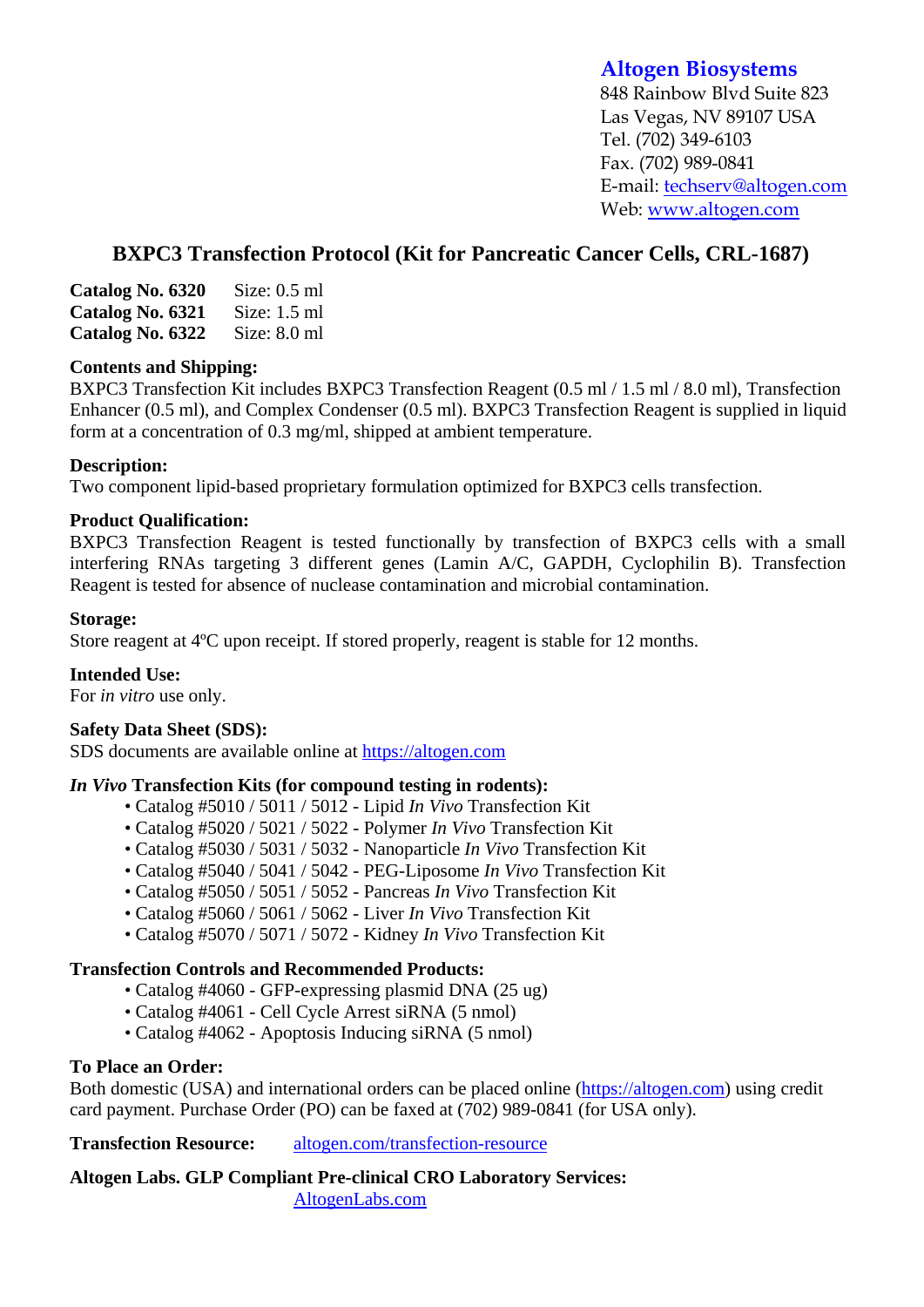# **Altogen Biosystems**

848 Rainbow Blvd Suite 823 Las Vegas, NV 89107 USA Tel. (702) 349-6103 Fax. (702) 989-0841 E-mail: techserv@altogen.com Web: www.altogen.com

# **BXPC3 Transfection Protocol (Kit for Pancreatic Cancer Cells, CRL-1687)**

| Catalog No. 6320 | Size: $0.5$ ml |
|------------------|----------------|
| Catalog No. 6321 | Size: $1.5$ ml |
| Catalog No. 6322 | Size: $8.0$ ml |

#### **Contents and Shipping:**

BXPC3 Transfection Kit includes BXPC3 Transfection Reagent (0.5 ml / 1.5 ml / 8.0 ml), Transfection Enhancer (0.5 ml), and Complex Condenser (0.5 ml). BXPC3 Transfection Reagent is supplied in liquid form at a concentration of 0.3 mg/ml, shipped at ambient temperature.

### **Description:**

Two component lipid-based proprietary formulation optimized for BXPC3 cells transfection.

### **Product Qualification:**

BXPC3 Transfection Reagent is tested functionally by transfection of BXPC3 cells with a small interfering RNAs targeting 3 different genes (Lamin A/C, GAPDH, Cyclophilin B). Transfection Reagent is tested for absence of nuclease contamination and microbial contamination.

### **Storage:**

Store reagent at 4ºC upon receipt. If stored properly, reagent is stable for 12 months.

## **Intended Use:**

For *in vitro* use only.

## **Safety Data Sheet (SDS):**

SDS documents are available online at https://altogen.com

#### *In Vivo* **Transfection Kits (for compound testing in rodents):**

- Catalog #5010 / 5011 / 5012 Lipid *In Vivo* Transfection Kit
- Catalog #5020 / 5021 / 5022 Polymer *In Vivo* Transfection Kit
- Catalog #5030 / 5031 / 5032 Nanoparticle *In Vivo* Transfection Kit
- Catalog #5040 / 5041 / 5042 PEG-Liposome *In Vivo* Transfection Kit
- Catalog #5050 / 5051 / 5052 Pancreas *In Vivo* Transfection Kit
- Catalog #5060 / 5061 / 5062 Liver *In Vivo* Transfection Kit
- Catalog #5070 / 5071 / 5072 Kidney *In Vivo* Transfection Kit

#### **Transfection Controls and Recommended Products:**

- Catalog #4060 GFP-expressing plasmid DNA (25 ug)
- Catalog #4061 Cell Cycle Arrest siRNA (5 nmol)
- Catalog #4062 Apoptosis Inducing siRNA (5 nmol)

#### **To Place an Order:**

Both domestic (USA) and international orders can be placed online (https://altogen.com) using credit card payment. Purchase Order (PO) can be faxed at (702) 989-0841 (for USA only).

**Transfection Resource:** altogen.com/transfection-resource

**Altogen Labs. GLP Compliant Pre-clinical CRO Laboratory Services:**  AltogenLabs.com